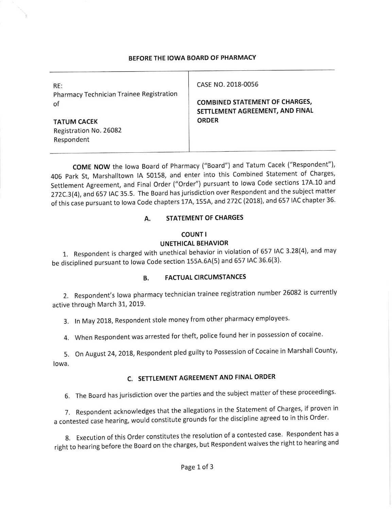#### BEFORE THE IOWA BOARD OF PHARMACY

| RE:<br>Pharmacy Technician Trainee Registration<br>of | CASE NO. 2018-0056                                                       |
|-------------------------------------------------------|--------------------------------------------------------------------------|
|                                                       | <b>COMBINED STATEMENT OF CHARGES,</b><br>SETTLEMENT AGREEMENT, AND FINAL |
| <b>TATUM CACEK</b><br>Registration No. 26082          | <b>ORDER</b>                                                             |
| Respondent                                            |                                                                          |

COME NOW the lowa Board of Pharmacy ("Board") and Tatum Cacek ("Respondent"), 406 Park St, Marshalltown IA 50158, and enter into this Combined Statement of Charges, settlement Agreement, and Final order ("order") pursuant to lowa code sections 17A.10 and 272C.3(4), and 657 IAC 35.5. The Board has jurisdiction over Respondent and the subject matter of this case pursuant to lowa Code chapters 17A, 155A, and 272C (2018), and 657 IAC chapter 36.

### A. STATEMENT OF CHARGES

#### COUNT <sup>I</sup> UNETHICAL BEHAVIOR

1. Respondent is charged with unethical behavior in violation of 657 IAC 3.28(4), and may be disciplined pursuant to lowa Code section 155A.6A(5) and 657 IAC 36.6(3).

### B. FACTUAL CIRCUMSTANCES

2. Respondent's lowa pharmacy technician trainee registration number 26082 is currently active through March 31, 2019.

3. In May 2018, Respondent stole money from other pharmacy employees.

4. When Respondent was arrested for theft, police found her in possession of cocaine.

5. On August 24, 2018, Respondent pled guilty to Possession of Cocaine in Marshall County, lowa.

# C. SETTLEMENT AGREEMENT AND FINAL ORDER

6. The Board has jurisdiction over the parties and the subject matter of these proceedings.

7. Respondent acknowledges that the allegations in the Statement of Charges, if proven in a contested case hearing, would constitute grounds for the discipline agreed to in this Order.

8. Execution of this Order constitutes the resolution of a contested case. Respondent has a right to hearing before the Board on the charges, but Respondent waives the right to hearing and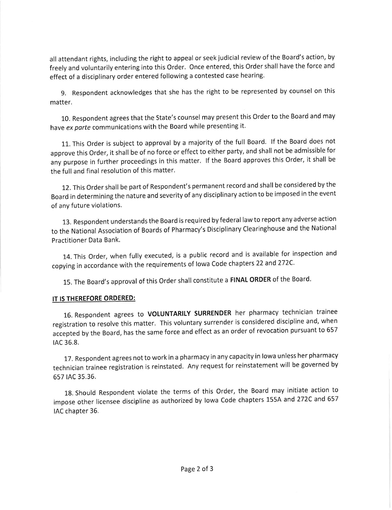all attendant rights, including the right to appeal or seek judicial review of the Board's action, by freely and voluntarily entering into this Order. Once entered, this Order shall have the force and effect of a disciplinary order entered following a contested case hearing.

9. Respondent acknowledges that she has the right to be represented by counsel on this matter.

10. Respondent agrees that the state's counsel may present this order to the Board and may have ex parte communications with the Board while presenting it.

11. This order is subject to approval by a majority of the full Board. lf the Board does not approve this order, it shall be of no force or effect to either party, and shall not be admissible for any purpose in further proceedings in this matter. lf the Board approves this Order, it shall be the full and final resolution of this matter.

12. This Order shall be part of Respondent's permanent record and shall be considered by the Board in determining the nature and severity of any disciplinary action to be imposed ln the event of any future violations.

13. Respondent understands the Board is required by federal law to report any adverse action to the National Association of Boards of Pharmacy's Disciplinary clearinghouse and the National Practitioner Data Bank.

14. This order, when fully executed, is a public record and is available for inspection and copying in accordance with the requirements of lowa Code chapters 22 and 272C.

15. The Board's approval of this Order shall constitute a FINAL ORDER of the Board.

## IT IS THEREFORE ORDERED:

16. Respondent agrees to VoLUNTARILY SURRENDER her pharmacy technician trainee registration to resolve this matter. This voluntary surrender is considered discipline and, when accepted by the Board, has the same force and effect as an order of revocation pursuant to 657 tAC 36.8.

17. Respondent agrees not to work in a pharmacy in any capacity in lowa unless her pharmacy technician trainee registration is reinstated. Any request for reinstatement will be governed by 657 tAC 35.36.

18. Should Respondent violate the terms of this order, the Board may initiate action to impose other licensee discipline as authorized by Iowa Code chapters 155A and 272C and 657 IAC chapter 36.